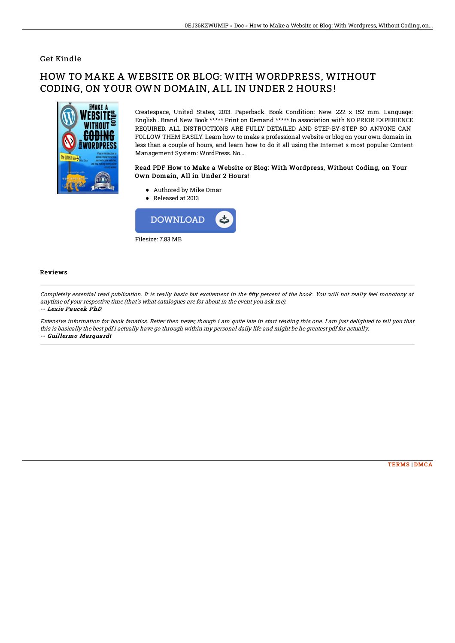### Get Kindle

# HOW TO MAKE A WEBSITE OR BLOG: WITH WORDPRESS, WITHOUT CODING, ON YOUR OWN DOMAIN, ALL IN UNDER 2 HOURS!



Createspace, United States, 2013. Paperback. Book Condition: New. 222 x 152 mm. Language: English . Brand New Book \*\*\*\*\* Print on Demand \*\*\*\*\*.In association with NO PRIOR EXPERIENCE REQUIRED. ALL INSTRUCTIONS ARE FULLY DETAILED AND STEP-BY-STEP SO ANYONE CAN FOLLOW THEM EASILY. Learn how to make a professional website or blog on your own domain in less than a couple of hours, and learn how to do it all using the Internet s most popular Content Management System: WordPress. No...

#### Read PDF How to Make a Website or Blog: With Wordpress, Without Coding, on Your Own Domain, All in Under 2 Hours!

- Authored by Mike Omar
- Released at 2013



#### Reviews

Completely essential read publication. It is really basic but excitement in the fifty percent of the book. You will not really feel monotony at anytime of your respective time (that's what catalogues are for about in the event you ask me). -- Lexie Paucek PhD

Extensive information for book fanatics. Better then never, though i am quite late in start reading this one. I am just delighted to tell you that this is basically the best pdf i actually have go through within my personal daily life and might be he greatest pdf for actually. -- Guillermo Marquardt